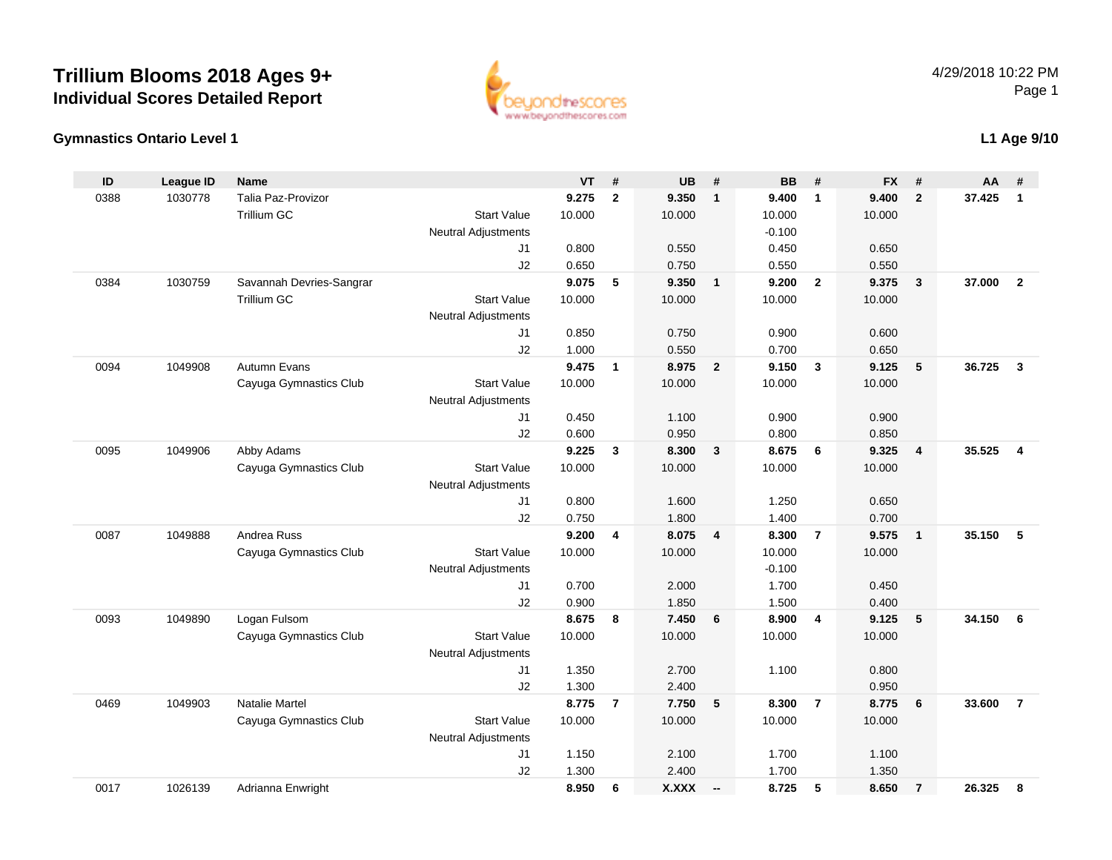# **Trillium Blooms 2018 Ages 9+ Individual Scores Detailed Report**



### **Gymnastics Ontario Level 1**

## **L1 Age 9/10**

| ID   | <b>League ID</b> | <b>Name</b>              |                            | <b>VT</b>      | #              | <b>UB</b>      | #              | <b>BB</b>      | #              | <b>FX</b>      | #              | AA     | #              |
|------|------------------|--------------------------|----------------------------|----------------|----------------|----------------|----------------|----------------|----------------|----------------|----------------|--------|----------------|
| 0388 | 1030778          | Talia Paz-Provizor       |                            | 9.275          | $\mathbf{2}$   | 9.350          | $\mathbf{1}$   | 9.400          | $\mathbf{1}$   | 9.400          | $\overline{2}$ | 37.425 | $\mathbf{1}$   |
|      |                  | Trillium GC              | <b>Start Value</b>         | 10.000         |                | 10.000         |                | 10.000         |                | 10.000         |                |        |                |
|      |                  |                          | <b>Neutral Adjustments</b> |                |                |                |                | $-0.100$       |                |                |                |        |                |
|      |                  |                          | J <sub>1</sub>             | 0.800          |                | 0.550          |                | 0.450          |                | 0.650          |                |        |                |
|      |                  |                          | J2                         | 0.650          |                | 0.750          |                | 0.550          |                | 0.550          |                |        |                |
| 0384 | 1030759          | Savannah Devries-Sangrar |                            | 9.075          | 5              | 9.350          | $\mathbf{1}$   | 9.200          | $\overline{2}$ | 9.375          | $\mathbf{3}$   | 37.000 | $\overline{2}$ |
|      |                  | <b>Trillium GC</b>       | <b>Start Value</b>         | 10.000         |                | 10.000         |                | 10.000         |                | 10.000         |                |        |                |
|      |                  |                          | <b>Neutral Adjustments</b> |                |                |                |                |                |                |                |                |        |                |
|      |                  |                          | J1                         | 0.850          |                | 0.750          |                | 0.900          |                | 0.600          |                |        |                |
|      |                  |                          | J2                         | 1.000          |                | 0.550          |                | 0.700          |                | 0.650          |                |        |                |
| 0094 | 1049908          | <b>Autumn Evans</b>      |                            | 9.475          | $\mathbf{1}$   | 8.975          | $\overline{2}$ | 9.150          | $\overline{3}$ | 9.125          | 5              | 36.725 | $\mathbf{3}$   |
|      |                  | Cayuga Gymnastics Club   | <b>Start Value</b>         | 10.000         |                | 10.000         |                | 10.000         |                | 10.000         |                |        |                |
|      |                  |                          | <b>Neutral Adjustments</b> |                |                |                |                |                |                |                |                |        |                |
|      |                  |                          | J1                         | 0.450          |                | 1.100          |                | 0.900          |                | 0.900          |                |        |                |
| 0095 | 1049906          | Abby Adams               | J2                         | 0.600<br>9.225 | $\mathbf{3}$   | 0.950<br>8.300 | 3              | 0.800<br>8.675 | 6              | 0.850<br>9.325 | $\overline{4}$ | 35.525 | $\overline{4}$ |
|      |                  | Cayuga Gymnastics Club   | <b>Start Value</b>         | 10.000         |                | 10.000         |                | 10.000         |                | 10.000         |                |        |                |
|      |                  |                          | <b>Neutral Adjustments</b> |                |                |                |                |                |                |                |                |        |                |
|      |                  |                          | J1                         | 0.800          |                | 1.600          |                | 1.250          |                | 0.650          |                |        |                |
|      |                  |                          | J2                         | 0.750          |                | 1.800          |                | 1.400          |                | 0.700          |                |        |                |
| 0087 | 1049888          | Andrea Russ              |                            | 9.200          | 4              | 8.075          | $\overline{4}$ | 8.300          | $\overline{7}$ | 9.575          | $\overline{1}$ | 35.150 | 5              |
|      |                  | Cayuga Gymnastics Club   | <b>Start Value</b>         | 10.000         |                | 10.000         |                | 10.000         |                | 10.000         |                |        |                |
|      |                  |                          | Neutral Adjustments        |                |                |                |                | $-0.100$       |                |                |                |        |                |
|      |                  |                          | J <sub>1</sub>             | 0.700          |                | 2.000          |                | 1.700          |                | 0.450          |                |        |                |
|      |                  |                          | J2                         | 0.900          |                | 1.850          |                | 1.500          |                | 0.400          |                |        |                |
| 0093 | 1049890          | Logan Fulsom             |                            | 8.675          | 8              | 7.450          | 6              | 8.900          | $\overline{4}$ | 9.125          | 5              | 34.150 | 6              |
|      |                  | Cayuga Gymnastics Club   | <b>Start Value</b>         | 10.000         |                | 10.000         |                | 10.000         |                | 10.000         |                |        |                |
|      |                  |                          | <b>Neutral Adjustments</b> |                |                |                |                |                |                |                |                |        |                |
|      |                  |                          | J <sub>1</sub>             | 1.350          |                | 2.700          |                | 1.100          |                | 0.800          |                |        |                |
|      |                  |                          | J2                         | 1.300          |                | 2.400          |                |                |                | 0.950          |                |        |                |
| 0469 | 1049903          | Natalie Martel           |                            | 8.775          | $\overline{7}$ | 7.750          | 5              | 8.300          | $\overline{7}$ | 8.775          | 6              | 33.600 | $\overline{7}$ |
|      |                  | Cayuga Gymnastics Club   | <b>Start Value</b>         | 10.000         |                | 10.000         |                | 10.000         |                | 10.000         |                |        |                |
|      |                  |                          | <b>Neutral Adjustments</b> |                |                |                |                |                |                |                |                |        |                |
|      |                  |                          | J1                         | 1.150          |                | 2.100          |                | 1.700          |                | 1.100          |                |        |                |
|      |                  |                          | J2                         | 1.300          |                | 2.400          |                | 1.700          |                | 1.350          |                |        |                |
| 0017 | 1026139          | Adrianna Enwright        |                            | 8.950          | 6              | X.XXX          | $\sim$         | 8.725          | 5              | 8.650          | $\overline{7}$ | 26.325 | 8              |